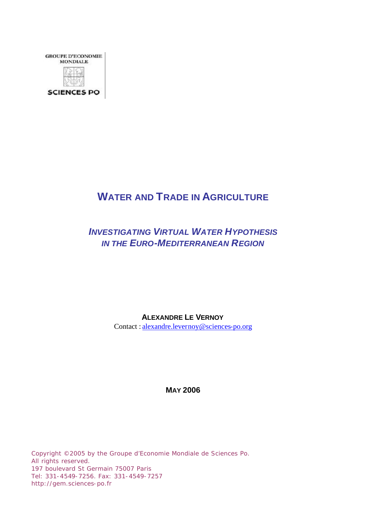

# **WATER AND TRADE IN AGRICULTURE**

## *INVESTIGATING VIRTUAL WATER HYPOTHESIS IN THE EURO-MEDITERRANEAN REGION*

**ALEXANDRE LE VERNOY**

Contact : alexandre.levernoy@sciences-po.org

**MAY 2006**

Copyright ©2005 by the Groupe d'Economie Mondiale de Sciences Po. All rights reserved. 197 boulevard St Germain 75007 Paris Tel: 331-4549-7256. Fax: 331-4549-7257 http://gem.sciences-po.fr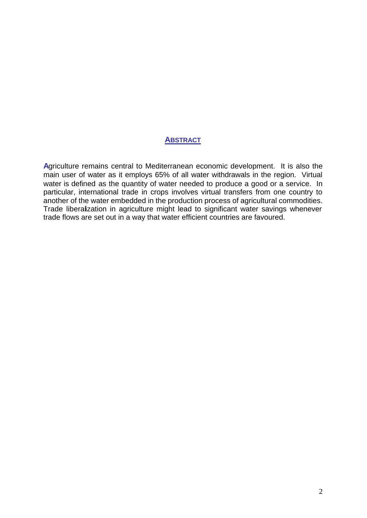## **ABSTRACT**

**A**griculture remains central to Mediterranean economic development. It is also the main user of water as it employs 65% of all water withdrawals in the region. Virtual water is defined as the quantity of water needed to produce a good or a service. In particular, international trade in crops involves virtual transfers from one country to another of the water embedded in the production process of agricultural commodities. Trade liberalization in agriculture might lead to significant water savings whenever trade flows are set out in a way that water efficient countries are favoured.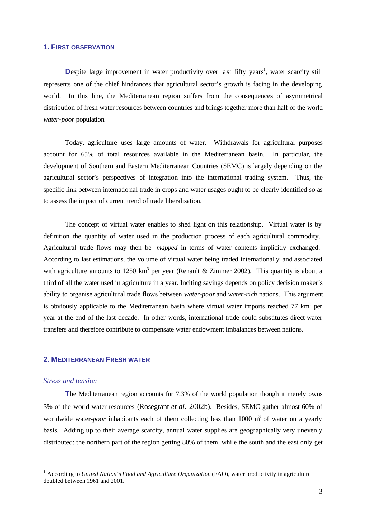#### **1. FIRST OBSERVATION**

Despite large improvement in water productivity over last fifty years<sup>1</sup>, water scarcity still represents one of the chief hindrances that agricultural sector's growth is facing in the developing world. In this line, the Mediterranean region suffers from the consequences of asymmetrical distribution of fresh water resources between countries and brings together more than half of the world *water-poor* population.

Today, agriculture uses large amounts of water. Withdrawals for agricultural purposes account for 65% of total resources available in the Mediterranean basin. In particular, the development of Southern and Eastern Mediterranean Countries (SEMC) is largely depending on the agricultural sector's perspectives of integration into the international trading system. Thus, the specific link between international trade in crops and water usages ought to be clearly identified so as to assess the impact of current trend of trade liberalisation.

The concept of virtual water enables to shed light on this relationship. Virtual water is by definition the quantity of water used in the production process of each agricultural commodity. Agricultural trade flows may then be *mapped* in terms of water contents implicitly exchanged. According to last estimations, the volume of virtual water being traded internationally and associated with agriculture amounts to 1250 km<sup>3</sup> per year (Renault & Zimmer 2002). This quantity is about a third of all the water used in agriculture in a year. Inciting savings depends on policy decision maker's ability to organise agricultural trade flows between *water-poor* and *water-rich* nations. This argument is obviously applicable to the Mediterranean basin where virtual water imports reached  $77 \text{ km}^3$  per year at the end of the last decade. In other words, international trade could substitutes direct water transfers and therefore contribute to compensate water endowment imbalances between nations.

## **2. MEDITERRANEAN FRESH WATER**

#### *Stress and tension*

l

**T**he Mediterranean region accounts for 7.3% of the world population though it merely owns 3% of the world water resources (Rosegrant *et al.* 2002b). Besides, SEMC gather almost 60% of worldwide water-*poor* inhabitants each of them collecting less than 1000 m<sup>3</sup> of water on a yearly basis. Adding up to their average scarcity, annual water supplies are geographically very unevenly distributed: the northern part of the region getting 80% of them, while the south and the east only get

<sup>&</sup>lt;sup>1</sup> According to *United Nation's Food and Agriculture Organization* (FAO), water productivity in agriculture doubled between 1961 and 2001.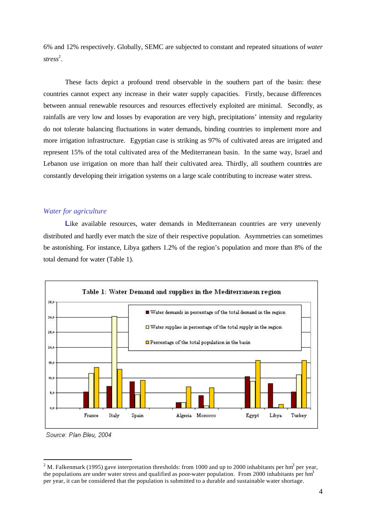6% and 12% respectively. Globally, SEMC are subjected to constant and repeated situations of *water*  stress<sup>2</sup>.

These facts depict a profound trend observable in the southern part of the basin: these countries cannot expect any increase in their water supply capacities. Firstly, because differences between annual renewable resources and resources effectively exploited are minimal. Secondly, as rainfalls are very low and losses by evaporation are very high, precipitations' intensity and regularity do not tolerate balancing fluctuations in water demands, binding countries to implement more and more irrigation infrastructure. Egyptian case is striking as 97% of cultivated areas are irrigated and represent 15% of the total cultivated area of the Mediterranean basin. In the same way, Israel and Lebanon use irrigation on more than half their cultivated area. Thirdly, all southern countries are constantly developing their irrigation systems on a large scale contributing to increase water stress.

## *Water for agriculture*

Like available resources, water demands in Mediterranean countries are very unevenly distributed and hardly ever match the size of their respective population. Asymmetries can sometimes be astonishing. For instance, Libya gathers 1.2% of the region's population and more than 8% of the total demand for water (Table 1).



Source: Plan Bleu, 2004

l

<sup>&</sup>lt;sup>2</sup> M. Falkenmark (1995) gave interpretation thresholds: from 1000 and up to 2000 inhabitants per hm<sup>3</sup> per year, the populations are under water stress and qualified as poor-water population. From 2000 inhabitants per hm<sup>3</sup> per year, it can be considered that the population is submitted to a durable and sustainable water shortage.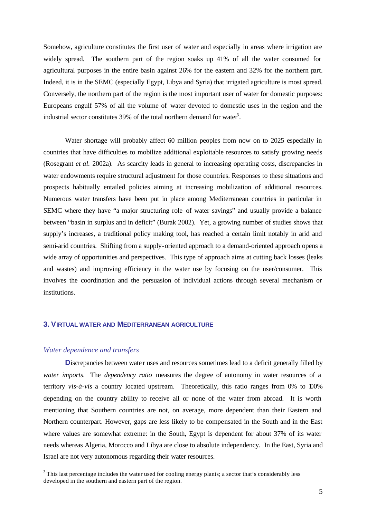Somehow, agriculture constitutes the first user of water and especially in areas where irrigation are widely spread. The southern part of the region soaks up 41% of all the water consumed for agricultural purposes in the entire basin against 26% for the eastern and 32% for the northern part. Indeed, it is in the SEMC (especially Egypt, Libya and Syria) that irrigated agriculture is most spread. Conversely, the northern part of the region is the most important user of water for domestic purposes: Europeans engulf 57% of all the volume of water devoted to domestic uses in the region and the industrial sector constitutes 39% of the total northern demand for water<sup>3</sup>.

Water shortage will probably affect 60 million peoples from now on to 2025 especially in countries that have difficulties to mobilize additional exploitable resources to satisfy growing needs (Rosegrant *et al.* 2002a). As scarcity leads in general to increasing operating costs, discrepancies in water endowments require structural adjustment for those countries. Responses to these situations and prospects habitually entailed policies aiming at increasing mobilization of additional resources. Numerous water transfers have been put in place among Mediterranean countries in particular in SEMC where they have "a major structuring role of water savings" and usually provide a balance between "basin in surplus and in deficit" (Burak 2002). Yet, a growing number of studies shows that supply's increases, a traditional policy making tool, has reached a certain limit notably in arid and semi-arid countries. Shifting from a supply-oriented approach to a demand-oriented approach opens a wide array of opportunities and perspectives. This type of approach aims at cutting back losses (leaks and wastes) and improving efficiency in the water use by focusing on the user/consumer. This involves the coordination and the persuasion of individual actions through several mechanism or institutions.

#### **3. VIRTUAL WATER AND MEDITERRANEAN AGRICULTURE**

#### *Water dependence and transfers*

l

**D**iscrepancies between water uses and resources sometimes lead to a deficit generally filled by *water imports*. The *dependency ratio* measures the degree of autonomy in water resources of a territory *vis-à-vis* a country located upstream. Theoretically, this ratio ranges from 0% to 100% depending on the country ability to receive all or none of the water from abroad. It is worth mentioning that Southern countries are not, on average, more dependent than their Eastern and Northern counterpart. However, gaps are less likely to be compensated in the South and in the East where values are somewhat extreme: in the South, Egypt is dependent for about 37% of its water needs whereas Algeria, Morocco and Libya are close to absolute independency. In the East, Syria and Israel are not very autonomous regarding their water resources.

 $3$  This last percentage includes the water used for cooling energy plants; a sector that's considerably less developed in the southern and eastern part of the region.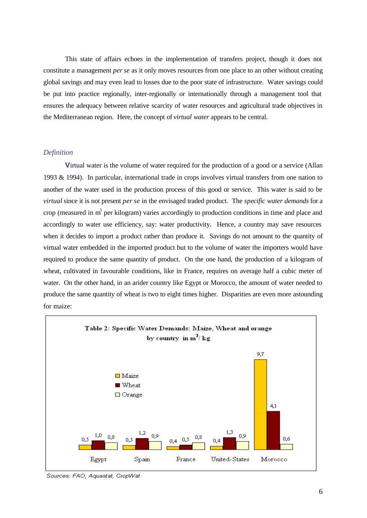This state of affairs echoes in the implementation of transfers project, though it does not constitute a management *per se* as it only moves resources from one place to an other without creating global savings and may even lead to losses due to the poor state of infrastructure. Water savings could be put into practice regionally, inter-regionally or internationally through a management tool that ensures the adequacy between relative scarcity of water resources and agricultural trade objectives in the Mediterranean region. Here, the concept of *virtual water* appears to be central.

#### *Definition*

**V**irtual water is the volume of water required for the production of a good or a service (Allan 1993 & 1994). In particular, international trade in crops involves virtual transfers from one nation to another of the water used in the production process of this good or service. This water is said to be *virtual* since it is not present *per se* in the envisaged traded product. The *specific water demands* for a crop (measured in  $m<sup>3</sup>$  per kilogram) varies accordingly to production conditions in time and place and accordingly to water use efficiency, say: water productivity. Hence, a country may save resources when it decides to import a product rather than produce it. Savings do not amount to the quantity of virtual water embedded in the imported product but to the volume of water the importers would have required to produce the same quantity of product. On the one hand, the production of a kilogram of wheat, cultivated in favourable conditions, like in France, requires on average half a cubic meter of water. On the other hand, in an arider country like Egypt or Morocco, the amount of water needed to produce the same quantity of wheat is two to eight times higher. Disparities are even more astounding for maize:



Sources: FAO, Aquastat, CropWat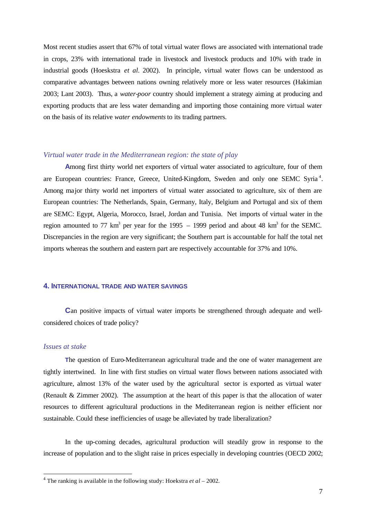Most recent studies assert that 67% of total virtual water flows are associated with international trade in crops, 23% with international trade in livestock and livestock products and 10% with trade in industrial goods (Hoeskstra *et al.* 2002). In principle, virtual water flows can be understood as comparative advantages between nations owning relatively more or less water resources (Hakimian 2003; Lant 2003). Thus, a *water-poor* country should implement a strategy aiming at producing and exporting products that are less water demanding and importing those containing more virtual water on the basis of its relative *water endowments* to its trading partners.

#### *Virtual water trade in the Mediterranean region: the state of play*

**A**mong first thirty world net exporters of virtual water associated to agriculture, four of them are European countries: France, Greece, United-Kingdom, Sweden and only one SEMC Syria<sup>4</sup>. Among major thirty world net importers of virtual water associated to agriculture, six of them are European countries: The Netherlands, Spain, Germany, Italy, Belgium and Portugal and six of them are SEMC: Egypt, Algeria, Morocco, Israel, Jordan and Tunisia. Net imports of virtual water in the region amounted to 77 km<sup>3</sup> per year for the 1995 – 1999 period and about 48 km<sup>3</sup> for the SEMC. Discrepancies in the region are very significant; the Southern part is accountable for half the total net imports whereas the southern and eastern part are respectively accountable for 37% and 10%.

## **4. INTERNATIONAL TRADE AND WATER SAVINGS**

**C**an positive impacts of virtual water imports be strengthened through adequate and wellconsidered choices of trade policy?

#### *Issues at stake*

l

**T**he question of Euro-Mediterranean agricultural trade and the one of water management are tightly intertwined. In line with first studies on virtual water flows between nations associated with agriculture, almost 13% of the water used by the agricultural sector is exported as virtual water (Renault & Zimmer 2002). The assumption at the heart of this paper is that the allocation of water resources to different agricultural productions in the Mediterranean region is neither efficient nor sustainable. Could these inefficiencies of usage be alleviated by trade liberalization?

In the up-coming decades, agricultural production will steadily grow in response to the increase of population and to the slight raise in prices especially in developing countries (OECD 2002;

<sup>4</sup> The ranking is available in the following study: Hoekstra *et al* – 2002.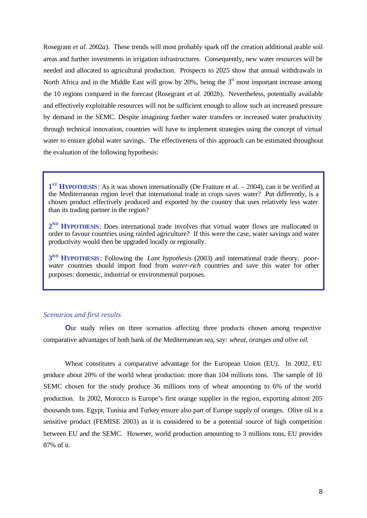Rosegrant *et al.* 2002*a*). These trends will most probably spark off the creation additional arable soil areas and further investments in irrigation infrastructures. Consequently, new water resources will be needed and allocated to agricultural production. Prospects to 2025 show that annual withdrawals in North Africa and in the Middle East will grow by 20%, being the  $3<sup>d</sup>$  most important increase among the 10 regions compared in the forecast (Rosegrant *et al.* 2002*b*). Nevertheless, potentially available and effectively exploitable resources will not be sufficient enough to allow such an increased pressure by demand in the SEMC. Despite imagining further water transfers or increased water productivity through technical innovation, countries will have to implement strategies using the concept of virtual water to ensure global water savings. The effectiveness of this approach can be estimated throughout the evaluation of the following hypothesis:

**1**<sup>ST</sup> **HYPOTHESIS**: As it was shown internationally (De Fraiture et al. – 2004), can it be verified at the Mediterranean region level that international trade in crops saves water? Put differently, is a chosen product effectively produced and exported by the country that uses relatively less water than its trading partner in the region?

2<sup>ND</sup> **HYPOTHESIS**: Does international trade involves that virtual water flows are reallocated in order to favour countries using rainfed agriculture? If this were the case, water savings and water productivity would then be upgraded locally or regionally.

**3 RD HYPOTHESIS**: Following the *Lant hypothesis* (2003) and international trade theory, *poorwater* countries should import food from *water-rich* countries and save this water for other purposes: domestic, industrial or environmental purposes.

#### *Scenarios and first results*

**Our** study relies on three scenarios affecting three products chosen among respective comparative advantages of both bank of the Mediterranean sea, say: *wheat, oranges and olive oil*.

Wheat constitutes a comparative advantage for the European Union (EU). In 2002, EU produce about 20% of the world wheat production: more than 104 millions tons. The sample of 10 SEMC chosen for the study produce 36 millions tons of wheat amounting to 6% of the world production. In 2002, Morocco is Europe's first orange supplier in the region, exporting almost 205 thousands tons. Egypt, Tunisia and Turkey ensure also part of Europe supply of oranges. Olive oil is a sensitive product (FEMISE 2003) as it is considered to be a potential source of high competition between EU and the SEMC. However, world production amounting to 3 millions tons, EU provides 87% of it.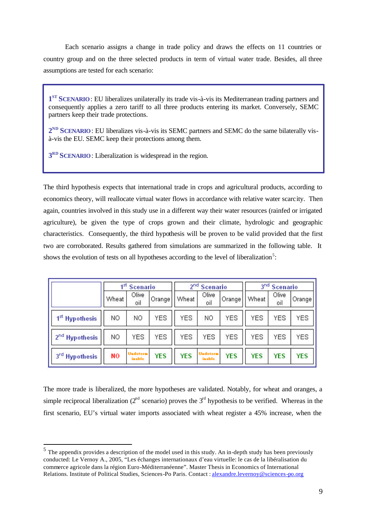Each scenario assigns a change in trade policy and draws the effects on 11 countries or country group and on the three selected products in term of virtual water trade. Besides, all three assumptions are tested for each scenario:

**1 ST SCENARIO**: EU liberalizes unilaterally its trade vis-à-vis its Mediterranean trading partners and consequently applies a zero tariff to all three products entering its market. Conversely, SEMC partners keep their trade protections.

2<sup>ND</sup> SCENARIO: EU liberalizes vis-à-vis its SEMC partners and SEMC do the same bilaterally visà-vis the EU. SEMC keep their protections among them.

**3 RD SCENARIO**: Liberalization is widespread in the region.

The third hypothesis expects that international trade in crops and agricultural products, according to economics theory, will reallocate virtual water flows in accordance with relative water scarcity. Then again, countries involved in this study use in a different way their water resources (rainfed or irrigated agriculture), be given the type of crops grown and their climate, hydrologic and geographic characteristics. Consequently, the third hypothesis will be proven to be valid provided that the first two are corroborated. Results gathered from simulations are summarized in the following table. It shows the evolution of tests on all hypotheses according to the level of liberalization<sup>5</sup>:

|                            | ıst<br><b>Scenario</b> |                           |                     | 2 <sub>nd</sub><br><b>Scenario</b> |                           |            | 3 <sub>nd</sub><br><b>Scenario</b> |              |            |
|----------------------------|------------------------|---------------------------|---------------------|------------------------------------|---------------------------|------------|------------------------------------|--------------|------------|
|                            | Wheat                  | Olive<br>oil              | Orange <sup>1</sup> | Wheat                              | Olive<br>oil              | Orange'    | <b>Wheat</b>                       | Olive<br>oil | Orange     |
| 1 <sup>st</sup> Hypothesis | NO.                    | NO.                       | YES.                | YES.                               | NO.                       | <b>YES</b> | <b>YES</b>                         | <b>YES</b>   | YES        |
| 2 <sup>nd</sup> Hypothesis | NO.                    | YES.                      | YES.                | YES.                               | YES.                      | <b>YES</b> | YES                                | <b>YES</b>   | <b>YES</b> |
| 3rd Hypothesis             | NO                     | <b>Undetern</b><br>inable | <b>YES</b>          | <b>YES</b>                         | <b>Undetern</b><br>inable | <b>YES</b> | <b>YES</b>                         | <b>YES</b>   | <b>YES</b> |

The more trade is liberalized, the more hypotheses are validated. Notably, for wheat and oranges, a simple reciprocal liberalization ( $2<sup>nd</sup>$  scenario) proves the  $3<sup>rd</sup>$  hypothesis to be verified. Whereas in the first scenario, EU's virtual water imports associated with wheat register a 45% increase, when the

l

 $<sup>5</sup>$  The appendix provides a description of the model used in this study. An in-depth study has been previously</sup> conducted: Le Vernoy A., 2005, "Les échanges internationaux d'eau virtuelle: le cas de la libéralisation du commerce agricole dans la région Euro-Méditerranéenne". Master Thesis in Economics of International Relations. Institute of Political Studies, Sciences-Po Paris. Contact : alexandre.levernoy@sciences-po.org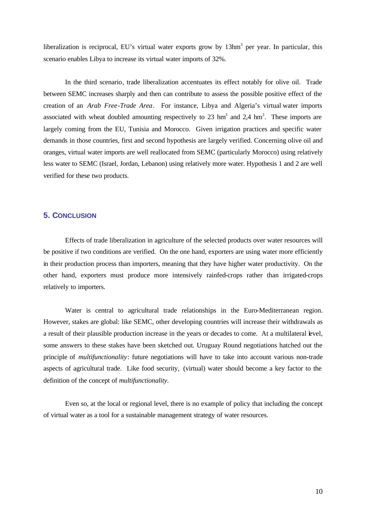liberalization is reciprocal, EU's virtual water exports grow by 13hm<sup>3</sup> per year. In particular, this scenario enables Libya to increase its virtual water imports of 32%.

In the third scenario, trade liberalization accentuates its effect notably for olive oil. Trade between SEMC increases sharply and then can contribute to assess the possible positive effect of the creation of an *Arab Free-Trade Area*. For instance, Libya and Algeria's virtual water imports associated with wheat doubled amounting respectively to 23  $\text{hm}^3$  and 2,4  $\text{hm}^3$ . These imports are largely coming from the EU, Tunisia and Morocco. Given irrigation practices and specific water demands in those countries, first and second hypothesis are largely verified. Concerning olive oil and oranges, virtual water imports are well reallocated from SEMC (particularly Morocco) using relatively less water to SEMC (Israel, Jordan, Lebanon) using relatively more water. Hypothesis 1 and 2 are well verified for these two products.

## **5. CONCLUSION**

Effects of trade liberalization in agriculture of the selected products over water resources will be positive if two conditions are verified. On the one hand, exporters are using water more efficiently in their production process than importers, meaning that they have higher water productivity. On the other hand, exporters must produce more intensively rainfed-crops rather than irrigated-crops relatively to importers.

Water is central to agricultural trade relationships in the Euro-Mediterranean region. However, stakes are global: like SEMC, other developing countries will increase their withdrawals as a result of their plausible production increase in the years or decades to come. At a multilateral kvel, some answers to these stakes have been sketched out. Uruguay Round negotiations hatched out the principle of *multifunctionality*: future negotiations will have to take into account various non-trade aspects of agricultural trade. Like food security, (virtual) water should become a key factor to the definition of the concept of *multifunctionality*.

Even so, at the local or regional level, there is no example of policy that including the concept of virtual water as a tool for a sustainable management strategy of water resources.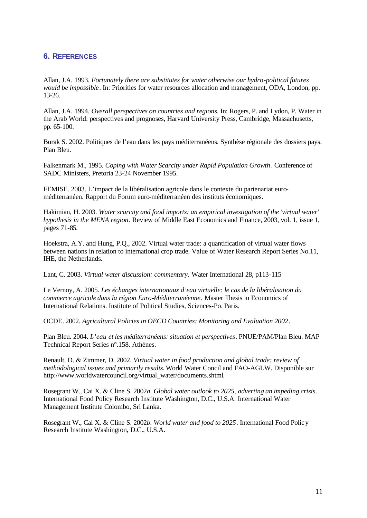## **6. REFERENCES**

Allan, J.A. 1993. *Fortunately there are substitutes for water otherwise our hydro-political futures would be impossible*. In: Priorities for water resources allocation and management, ODA, London, pp. 13-26.

Allan, J.A. 1994. *Overall perspectives on countries and regions*. In: Rogers, P. and Lydon, P. Water in the Arab World: perspectives and prognoses, Harvard University Press, Cambridge, Massachusetts, pp. 65-100.

Burak S. 2002. Politiques de l'eau dans les pays méditerranéens. Synthèse régionale des dossiers pays. Plan Bleu.

Falkenmark M., 1995. *Coping with Water Scarcity under Rapid Population Growth*. Conference of SADC Ministers, Pretoria 23-24 November 1995.

FEMISE. 2003. L'impact de la libéralisation agricole dans le contexte du partenariat euroméditerranéen. Rapport du Forum euro-méditerranéen des instituts économiques.

Hakimian, H. 2003. *Water scarcity and food imports: an empirical investigation of the 'virtual water' hypothesis in the MENA region*. Review of Middle East Economics and Finance, 2003, vol. 1, issue 1, pages 71-85.

Hoekstra, A.Y. and Hung, P.Q., 2002. Virtual water trade: a quantification of virtual water flows between nations in relation to international crop trade. Value of Water Research Report Series No.11, IHE, the Netherlands.

Lant, C. 2003. *Virtual water discussion: commentary.* Water International 28, p113-115

Le Vernoy, A. 2005. *Les échanges internationaux d'eau virtuelle: le cas de la libéralisation du commerce agricole dans la région Euro-Méditerranéenne*. Master Thesis in Economics of International Relations. Institute of Political Studies, Sciences-Po. Paris.

OCDE. 2002. *Agricultural Policies in OECD Countries: Monitoring and Evaluation 2002*.

Plan Bleu. 2004. *L'eau et les méditerranéens: situation et perspectives*. PNUE/PAM/Plan Bleu. MAP Technical Report Series n°.158. Athènes.

Renault, D. & Zimmer, D. 2002. *Virtual water in food production and global trade: review of methodological issues and primarily results*. World Water Concil and FAO-AGLW. Disponible sur http://www.worldwatercouncil.org/virtual\_water/documents.shtml.

Rosegrant W., Cai X. & Cline S. 2002*a. Global water outlook to 2025, adverting an impeding crisis*. International Food Policy Research Institute Washington, D.C., U.S.A. International Water Management Institute Colombo, Sri Lanka.

Rosegrant W., Cai X. & Cline S. 2002*b. World water and food to 2025*. International Food Policy Research Institute Washington, D.C., U.S.A.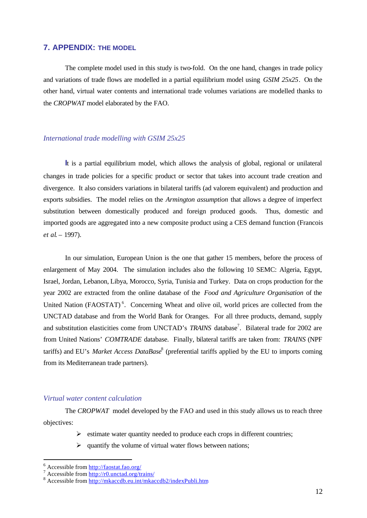## **7. APPENDIX: THE MODEL**

The complete model used in this study is two-fold. On the one hand, changes in trade policy and variations of trade flows are modelled in a partial equilibrium model using *GSIM 25x25*. On the other hand, virtual water contents and international trade volumes variations are modelled thanks to the *CROPWAT* model elaborated by the FAO.

## *International trade modelling with GSIM 25x25*

**I**t is a partial equilibrium model, which allows the analysis of global, regional or unilateral changes in trade policies for a specific product or sector that takes into account trade creation and divergence. It also considers variations in bilateral tariffs (ad valorem equivalent) and production and exports subsidies. The model relies on the *Armington assumption* that allows a degree of imperfect substitution between domestically produced and foreign produced goods. Thus, domestic and imported goods are aggregated into a new composite product using a CES demand function (Francois *et al*. – 1997).

In our simulation, European Union is the one that gather 15 members, before the process of enlargement of May 2004. The simulation includes also the following 10 SEMC: Algeria, Egypt, Israel, Jordan, Lebanon, Libya, Morocco, Syria, Tunisia and Turkey. Data on crops production for the year 2002 are extracted from the online database of the *Food and Agriculture Organisation* of the United Nation (FAOSTAT)<sup>6</sup>. Concerning Wheat and olive oil, world prices are collected from the UNCTAD database and from the World Bank for Oranges. For all three products, demand, supply and substitution elasticities come from UNCTAD's *TRAINS* database<sup>7</sup>. Bilateral trade for 2002 are from United Nations' *COMTRADE* database. Finally, bilateral tariffs are taken from: *TRAINS* (NPF tariffs) and EU's *Market Access DataBase*<sup>8</sup> (preferential tariffs applied by the EU to imports coming from its Mediterranean trade partners).

#### *Virtual water content calculation*

The *CROPWAT* model developed by the FAO and used in this study allows us to reach three objectives:

- $\triangleright$  estimate water quantity needed to produce each crops in different countries;
- $\triangleright$  quantify the volume of virtual water flows between nations;

l

<sup>&</sup>lt;sup>6</sup> Accessible from <u>http://faostat.fao.org/</u><br><sup>7</sup> Accessible from <u>http://r0.unctad.org/trains/</u>

<sup>&</sup>lt;sup>8</sup> Accessible from http://mkaccdb.eu.int/mkaccdb2/indexPubli.htm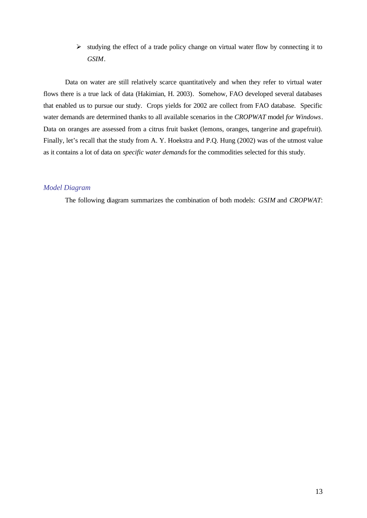$\triangleright$  studying the effect of a trade policy change on virtual water flow by connecting it to *GSIM*.

Data on water are still relatively scarce quantitatively and when they refer to virtual water flows there is a true lack of data (Hakimian, H. 2003). Somehow, FAO developed several databases that enabled us to pursue our study. Crops yields for 2002 are collect from FAO database. Specific water demands are determined thanks to all available scenarios in the *CROPWAT* model *for Windows*. Data on oranges are assessed from a citrus fruit basket (lemons, oranges, tangerine and grapefruit). Finally, let's recall that the study from A. Y. Hoekstra and P.Q. Hung (2002) was of the utmost value as it contains a lot of data on *specific water demands* for the commodities selected for this study.

#### *Model Diagram*

The following diagram summarizes the combination of both models: *GSIM* and *CROPWAT*: